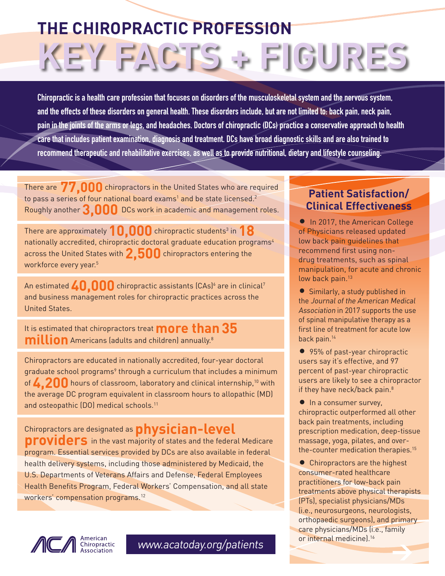## **THE CHIROPRACTIC PROFESSION KEY FACTS + FIGURES**

**Chiropractic is a health care profession that focuses on disorders of the musculoskeletal system and the nervous system, and the effects of these disorders on general health. These disorders include, but are not limited to: back pain, neck pain, pain in the joints of the arms or legs, and headaches. Doctors of chiropractic (DCs) practice a conservative approach to health care that includes patient examination, diagnosis and treatment. DCs have broad diagnostic skills and are also trained to recommend therapeutic and rehabilitative exercises, as well as to provide nutritional, dietary and lifestyle counseling.**

There are **77,000** chiropractors in the United States who are required to pass a series of four national board exams<sup>1</sup> and be state licensed.<sup>2</sup> Roughly another **3,000** DCs work in academic and management roles.

There are approximately  $10,000$  chiropractic students<sup>3</sup> in  $18$ nationally accredited, chiropractic doctoral graduate education programs<sup>4</sup> across the United States with **2,500** chiropractors entering the workforce every year.<sup>5</sup>

An estimated  $\bf 40,000$  chiropractic assistants (CAs)<sup>6</sup> are in clinical<sup>7</sup> and business management roles for chiropractic practices across the United States.

It is estimated that chiropractors treat **more than35 million** Americans (adults and children) annually.<sup>8</sup>

Chiropractors are educated in nationally accredited, four-year doctoral graduate school programs<sup>9</sup> through a curriculum that includes a minimum of **4,200** hours of classroom, laboratory and clinical internship,10 with the average DC program equivalent in classroom hours to allopathic (MD) and osteopathic (DO) medical schools.<sup>11</sup>

Chiropractors are designated as**physician-level providers** in the vast majority of states and the federal Medicare program. Essential services provided by DCs are also available in federal health delivery systems, including those administered by Medicaid, the U.S. Departments of Veterans Affairs and Defense, Federal Employees Health Benefits Program, Federal Workers' Compensation, and all state workers' compensation programs.<sup>12</sup>



• Similarly, a study published in the Journal of the American Medical Association in 2017 supports the use of spinal manipulative therapy as a first line of treatment for acute low back pain.14

**Patient Satisfaction/ Clinical Effectiveness**

**• In 2017, the American College** of Physicians released updated low back pain guidelines that

• 95% of past-year chiropractic users say it's effective, and 97 percent of past-year chiropractic users are likely to see a chiropractor if they have neck/back pain.<sup>8</sup>

• In a consumer survey, chiropractic outperformed all other back pain treatments, including prescription medication, deep-tissue massage, yoga, pilates, and overthe-counter medication therapies.15

• Chiropractors are the highest consumer-rated healthcare practitioners for low-back pain treatments above physical therapists (PTs), specialist physicians/MDs (i.e., neurosurgeons, neurologists, orthopaedic surgeons), and primary care physicians/MDs (i.e., family or internal medicine).<sup>16</sup>



www.acatoday.org/patients >